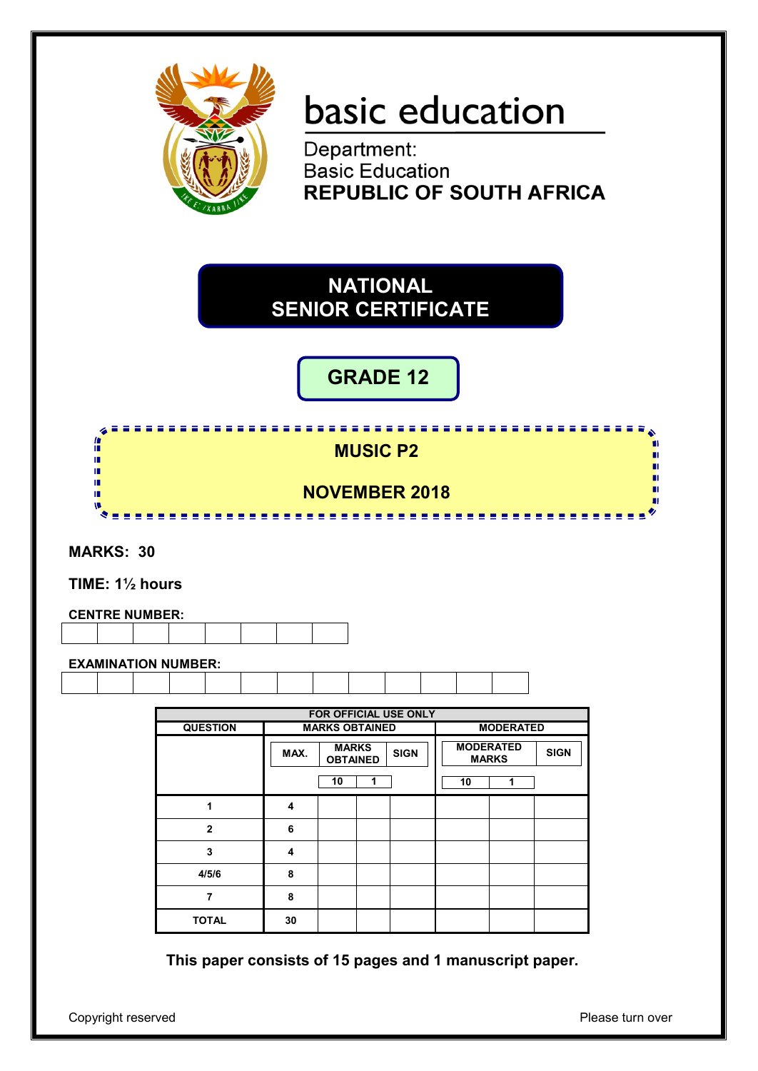

# basic education

Department: **Basic Education REPUBLIC OF SOUTH AFRICA** 

# **NATIONAL SENIOR CERTIFICATE**

# **GRADE 12**

<u>,,,,,,,,,,,,,,,,,,,,,,,,,,,</u> 僧 **MUSIC P2** п 唓 ш ΙÚ, 'n ΙĖ, **NOVEMBER 2018** í. п ................

**MARKS: 30**

**TIME: 1½ hours**

| <b>CENTRE NUMBER:</b> |  |  |  |  |  |  |  |  |
|-----------------------|--|--|--|--|--|--|--|--|
|                       |  |  |  |  |  |  |  |  |

**EXAMINATION NUMBER:**

|                 |      |                                 |   | FOR OFFICIAL USE ONLY |                  |                  |             |
|-----------------|------|---------------------------------|---|-----------------------|------------------|------------------|-------------|
| <b>QUESTION</b> |      | <b>MARKS OBTAINED</b>           |   |                       |                  | <b>MODERATED</b> |             |
|                 | MAX. | <b>MARKS</b><br><b>OBTAINED</b> |   | <b>SIGN</b>           | <b>MODERATED</b> | <b>MARKS</b>     | <b>SIGN</b> |
|                 |      | 10                              | 1 |                       | 10               | 1                |             |
| 1               | 4    |                                 |   |                       |                  |                  |             |
| $\mathbf{2}$    | 6    |                                 |   |                       |                  |                  |             |
| 3               | 4    |                                 |   |                       |                  |                  |             |
| 4/5/6           | 8    |                                 |   |                       |                  |                  |             |
| 7               | 8    |                                 |   |                       |                  |                  |             |
| <b>TOTAL</b>    | 30   |                                 |   |                       |                  |                  |             |

**This paper consists of 15 pages and 1 manuscript paper.**

Copyright reserved **Please** turn over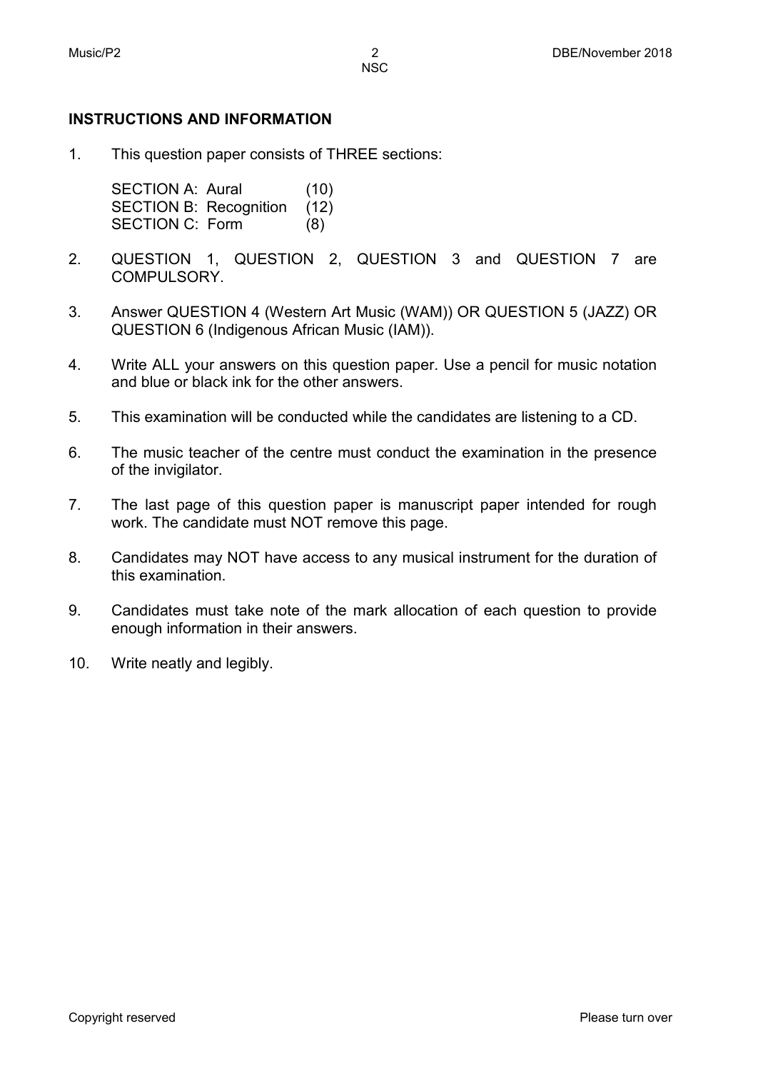#### **INSTRUCTIONS AND INFORMATION**

1. This question paper consists of THREE sections:

> SECTION A: Aural (10) SECTION B: Recognition (12) SECTION C: Form (8)

- 2. QUESTION 1, QUESTION 2, QUESTION 3 and QUESTION 7 are COMPULSORY.
- 3. Answer QUESTION 4 (Western Art Music (WAM)) OR QUESTION 5 (JAZZ) OR QUESTION 6 (Indigenous African Music (IAM)).
- 4. Write ALL your answers on this question paper. Use a pencil for music notation and blue or black ink for the other answers.
- 5. This examination will be conducted while the candidates are listening to a CD.
- 6. The music teacher of the centre must conduct the examination in the presence of the invigilator.
- 7. The last page of this question paper is manuscript paper intended for rough work. The candidate must NOT remove this page.
- 8. Candidates may NOT have access to any musical instrument for the duration of this examination.
- 9. Candidates must take note of the mark allocation of each question to provide enough information in their answers.
- 10. Write neatly and legibly.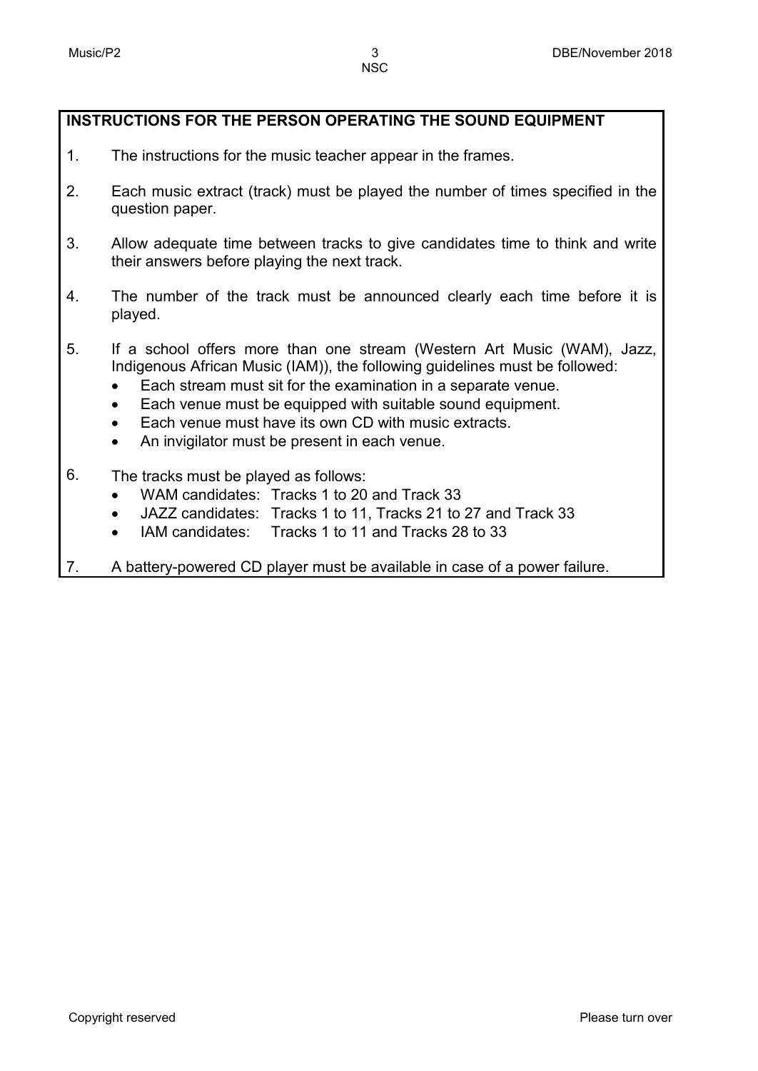#### **INSTRUCTIONS FOR THE PERSON OPERATING THE SOUND EQUIPMENT**

- 1. The instructions for the music teacher appear in the frames.
- 2. Each music extract (track) must be played the number of times specified in the question paper.
- 3. Allow adequate time between tracks to give candidates time to think and write their answers before playing the next track.
- 4. The number of the track must be announced clearly each time before it is played.
- 5. If a school offers more than one stream (Western Art Music (WAM), Jazz, Indigenous African Music (IAM)), the following guidelines must be followed:
	- Each stream must sit for the examination in a separate venue.
	- Each venue must be equipped with suitable sound equipment.
	- Each venue must have its own CD with music extracts.
	- An invigilator must be present in each venue.
- 6. The tracks must be played as follows:
	- WAM candidates: Tracks 1 to 20 and Track 33
	- JAZZ candidates: Tracks 1 to 11, Tracks 21 to 27 and Track 33
	- IAM candidates: Tracks 1 to 11 and Tracks 28 to 33
- 7. A battery-powered CD player must be available in case of a power failure.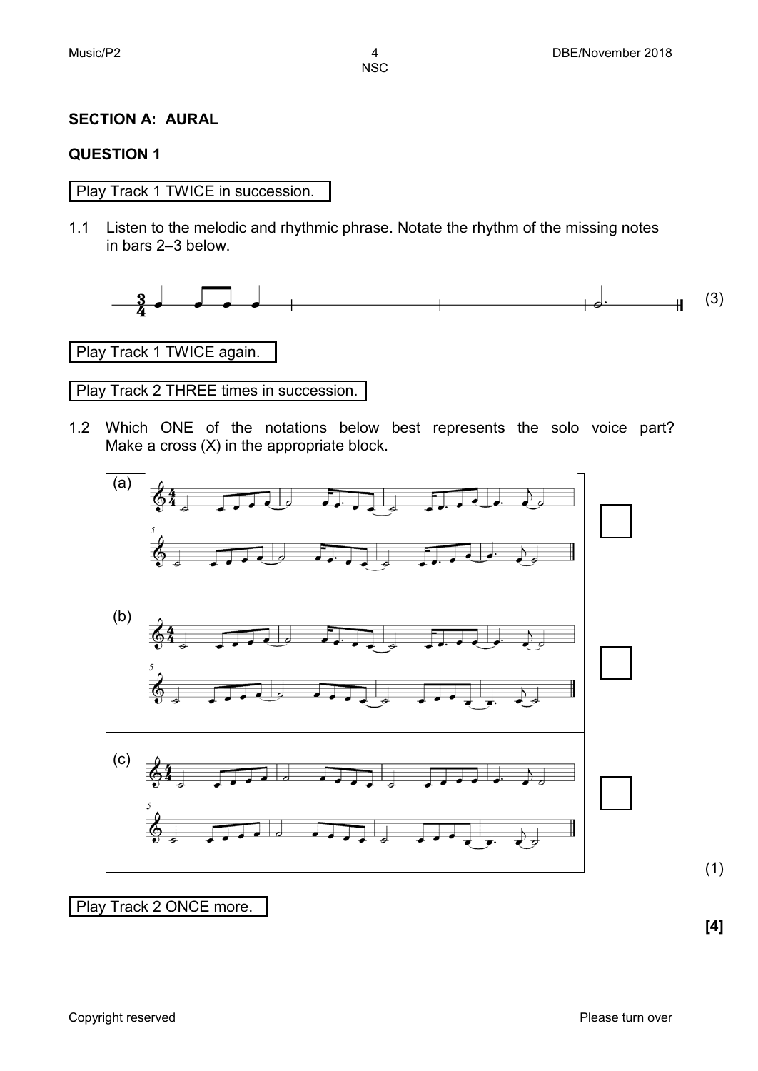#### **SECTION A: AURAL**

#### **QUESTION 1**

Play Track 1 TWICE in succession.

1.1 Listen to the melodic and rhythmic phrase. Notate the rhythm of the missing notes in bars 2–3 below.



Play Track 1 TWICE again.

Play Track 2 THREE times in succession.

1.2 Which ONE of the notations below best represents the solo voice part? Make a cross (X) in the appropriate block.



#### Play Track 2 ONCE more.

**[4]**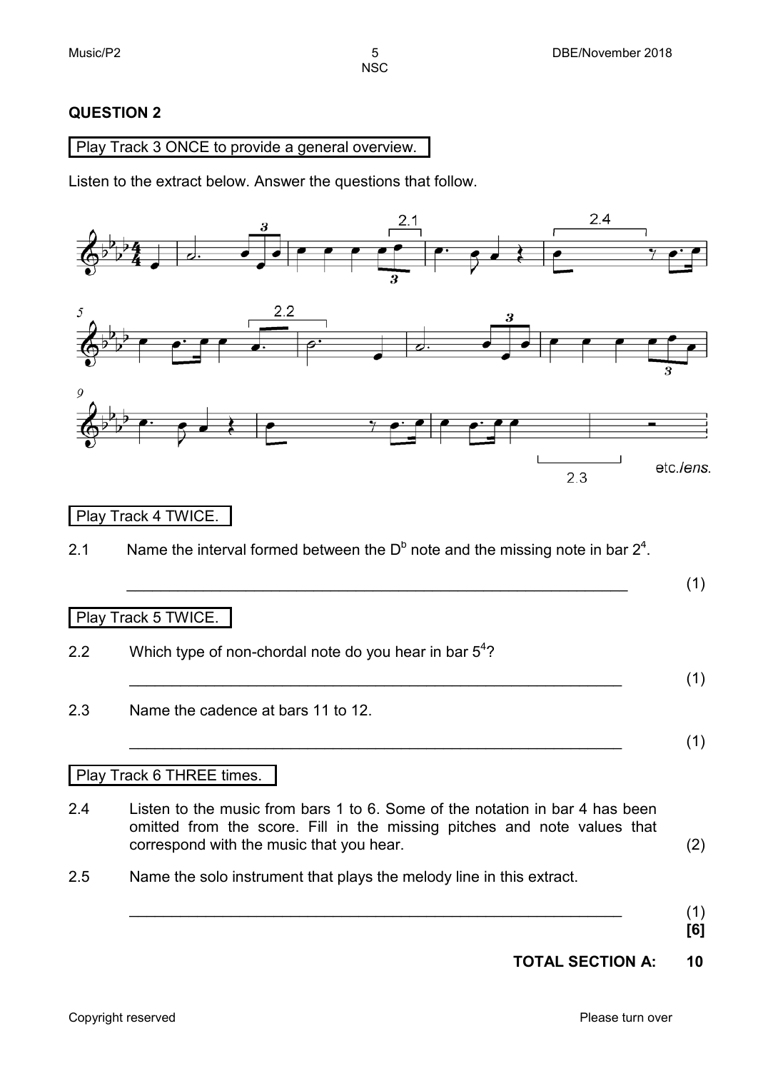#### **QUESTION 2**

#### Play Track 3 ONCE to provide a general overview.

Listen to the extract below. Answer the questions that follow.

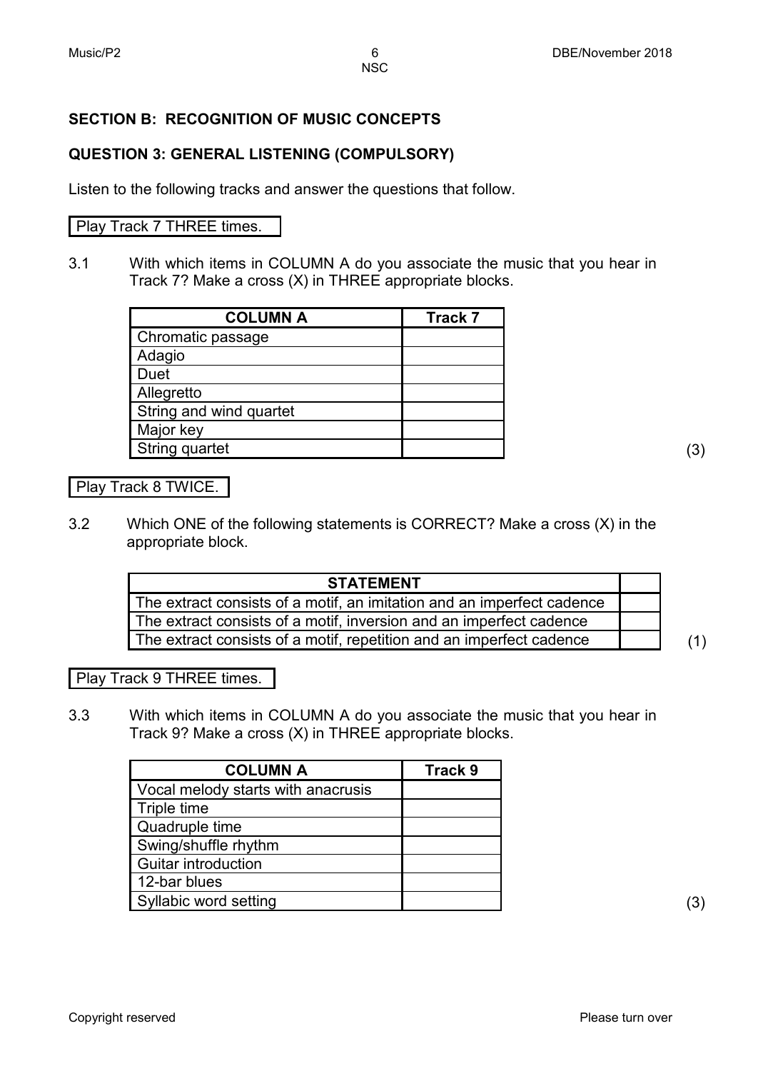#### **SECTION B: RECOGNITION OF MUSIC CONCEPTS**

#### **QUESTION 3: GENERAL LISTENING (COMPULSORY)**

Listen to the following tracks and answer the questions that follow.

#### Play Track 7 THREE times.

3.1 With which items in COLUMN A do you associate the music that you hear in Track 7? Make a cross (X) in THREE appropriate blocks.

| <b>COLUMN A</b>         | <b>Track 7</b> |
|-------------------------|----------------|
| Chromatic passage       |                |
| Adagio                  |                |
| <b>Duet</b>             |                |
| Allegretto              |                |
| String and wind quartet |                |
| Major key               |                |
| String quartet          |                |

#### Play Track 8 TWICE.

3.2 Which ONE of the following statements is CORRECT? Make a cross (X) in the appropriate block.

| <b>STATEMENT</b>                                                       |     |
|------------------------------------------------------------------------|-----|
| The extract consists of a motif, an imitation and an imperfect cadence |     |
| The extract consists of a motif, inversion and an imperfect cadence    |     |
| The extract consists of a motif, repetition and an imperfect cadence   | (1) |

Play Track 9 THREE times.

3.3 With which items in COLUMN A do you associate the music that you hear in Track 9? Make a cross (X) in THREE appropriate blocks.

| <b>COLUMN A</b>                    | Track 9 |
|------------------------------------|---------|
| Vocal melody starts with anacrusis |         |
| Triple time                        |         |
| Quadruple time                     |         |
| Swing/shuffle rhythm               |         |
| <b>Guitar introduction</b>         |         |
| 12-bar blues                       |         |
| Syllabic word setting              |         |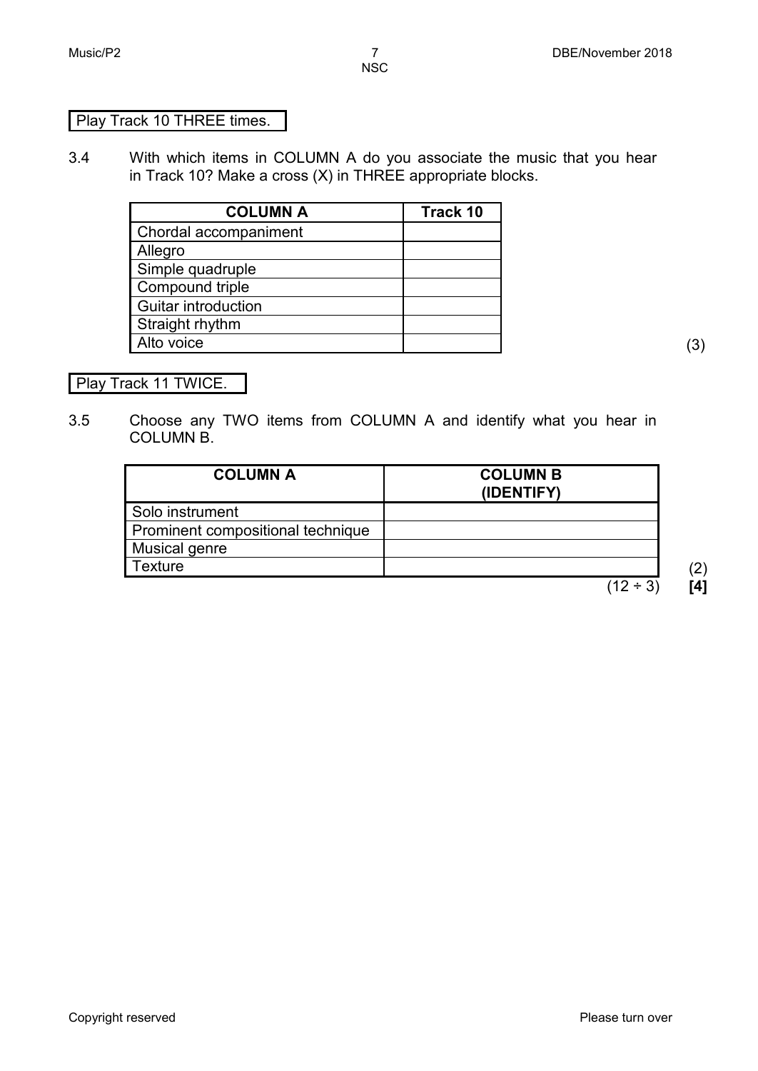#### Play Track 10 THREE times.

3.4 With which items in COLUMN A do you associate the music that you hear in Track 10? Make a cross (X) in THREE appropriate blocks.

| <b>COLUMN A</b>       | Track 10 |
|-----------------------|----------|
| Chordal accompaniment |          |
| Allegro               |          |
| Simple quadruple      |          |
| Compound triple       |          |
| Guitar introduction   |          |
| Straight rhythm       |          |
| Alto voice            |          |

Play Track 11 TWICE.

3.5 Choose any TWO items from COLUMN A and identify what you hear in COLUMN B.

| <b>COLUMN A</b>                   | <b>COLUMN B</b><br>(IDENTIFY) |  |
|-----------------------------------|-------------------------------|--|
| Solo instrument                   |                               |  |
| Prominent compositional technique |                               |  |
| Musical genre                     |                               |  |
| Texture                           |                               |  |
|                                   | $(12 \div 3)$                 |  |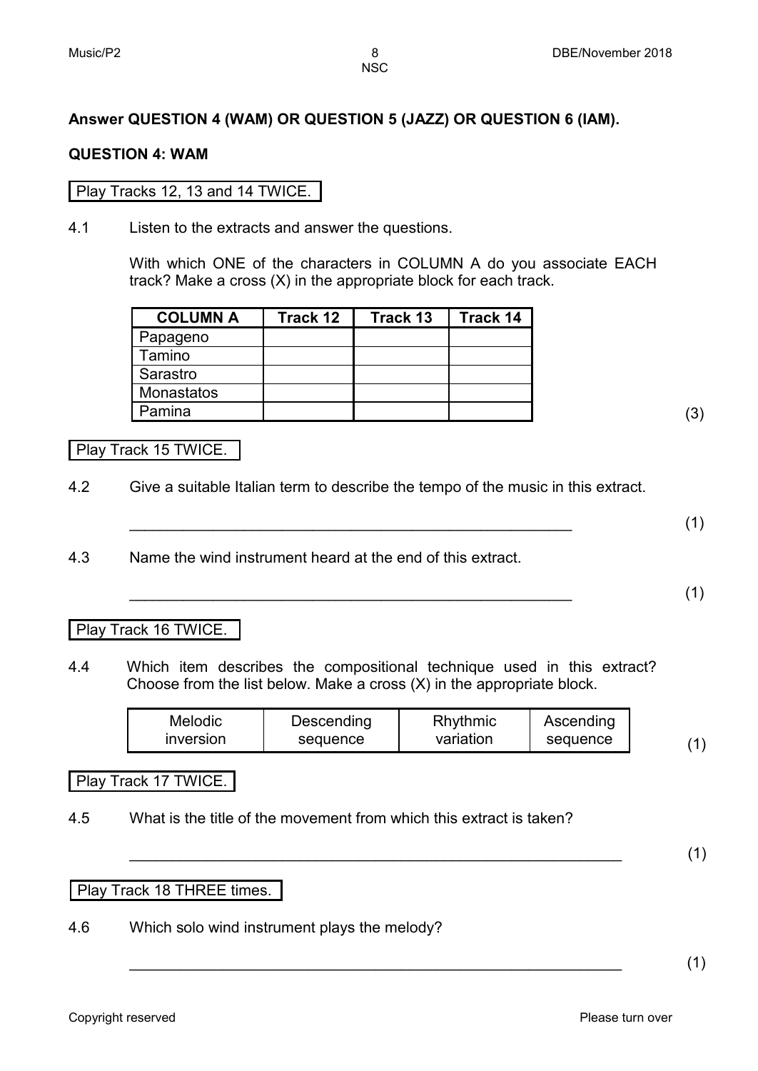#### **Answer QUESTION 4 (WAM) OR QUESTION 5 (JAZZ) OR QUESTION 6 (IAM).**

#### **QUESTION 4: WAM**

#### Play Tracks 12, 13 and 14 TWICE.

4.1 Listen to the extracts and answer the questions.

With which ONE of the characters in COLUMN A do you associate EACH track? Make a cross (X) in the appropriate block for each track.

| <b>COLUMN A</b> | Track 12 | Track 13 | Track 14 |
|-----------------|----------|----------|----------|
| Papageno        |          |          |          |
| Tamino          |          |          |          |
| Sarastro        |          |          |          |
| Monastatos      |          |          |          |
| Pamina          |          |          |          |

Play Track 15 TWICE.

- 4.2 Give a suitable Italian term to describe the tempo of the music in this extract.
	- **\_\_\_\_\_\_\_\_\_\_\_\_\_\_\_\_\_\_\_\_\_\_\_\_\_\_\_\_\_\_\_\_\_\_\_\_\_\_\_\_\_\_\_\_\_\_\_\_\_\_\_\_\_\_\_\_\_\_** (1)
- 4.3 Name the wind instrument heard at the end of this extract.

**\_\_\_\_\_\_\_\_\_\_\_\_\_\_\_\_\_\_\_\_\_\_\_\_\_\_\_\_\_\_\_\_\_\_\_\_\_\_\_\_\_\_\_\_\_\_\_\_\_\_\_\_\_\_\_\_\_\_** (1)

#### Play Track 16 TWICE.

4.4 Which item describes the compositional technique used in this extract? Choose from the list below. Make a cross (X) in the appropriate block.

| <b>Melodic</b>   | Descending | Rhythmic  | Ascending |  |
|------------------|------------|-----------|-----------|--|
| <b>Inversion</b> | sequence   | variation | sequence  |  |

Play Track 17 TWICE.

4.5 What is the title of the movement from which this extract is taken?

\_\_\_\_\_\_\_\_\_\_\_\_\_\_\_\_\_\_\_\_\_\_\_\_\_\_\_\_\_\_\_\_\_\_\_\_\_\_\_\_\_\_\_\_\_\_\_\_\_\_\_\_\_\_\_\_\_\_ (1)

Play Track 18 THREE times.

4.6 Which solo wind instrument plays the melody?

 $\hspace{2cm} (1)$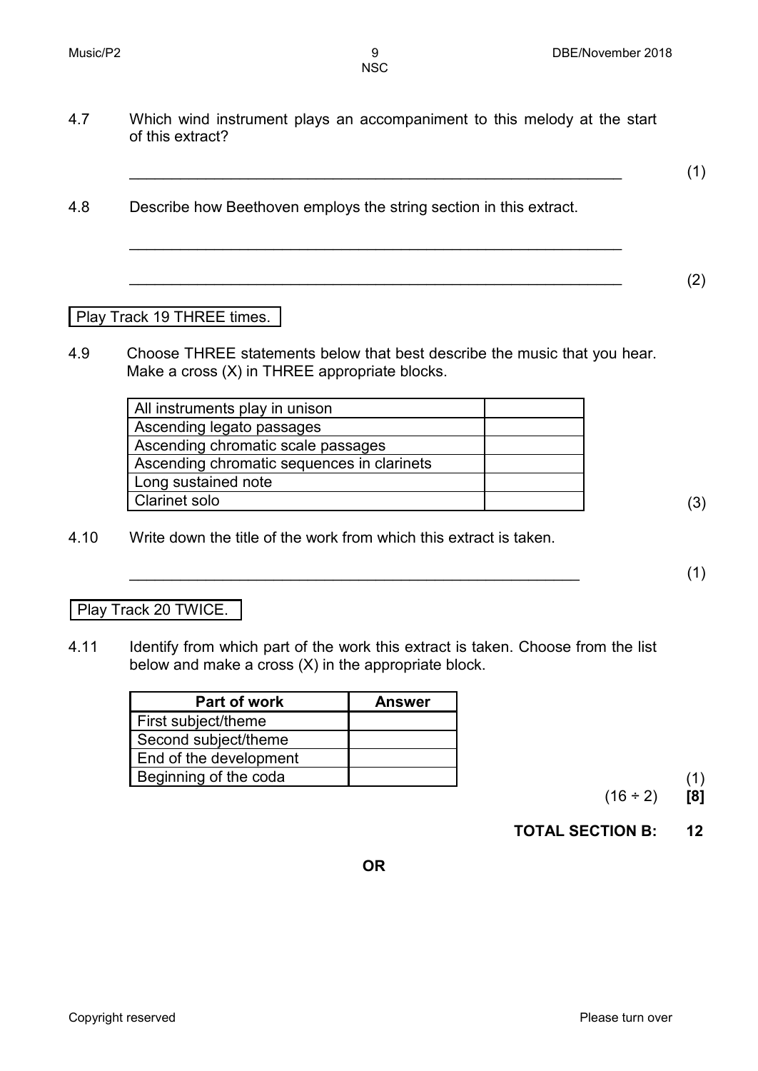4.7 Which wind instrument plays an accompaniment to this melody at the start of this extract?

\_\_\_\_\_\_\_\_\_\_\_\_\_\_\_\_\_\_\_\_\_\_\_\_\_\_\_\_\_\_\_\_\_\_\_\_\_\_\_\_\_\_\_\_\_\_\_\_\_\_\_\_\_\_\_\_\_\_

 $\hspace{2cm} (2)$ 

\_\_\_\_\_\_\_\_\_\_\_\_\_\_\_\_\_\_\_\_\_\_\_\_\_\_\_\_\_\_\_\_\_\_\_\_\_\_\_\_\_\_\_\_\_\_\_\_\_\_\_\_\_\_\_\_\_\_ (1)

- 4.8 Describe how Beethoven employs the string section in this extract.
	- Play Track 19 THREE times.
- 4.9 Choose THREE statements below that best describe the music that you hear. Make a cross (X) in THREE appropriate blocks.

| All instruments play in unison             |     |
|--------------------------------------------|-----|
| Ascending legato passages                  |     |
| Ascending chromatic scale passages         |     |
| Ascending chromatic sequences in clarinets |     |
| Long sustained note                        |     |
| <b>Clarinet solo</b>                       | (3) |

4.10 Write down the title of the work from which this extract is taken.

 $\hspace{2cm} (1)$ 

#### Play Track 20 TWICE.

4.11 Identify from which part of the work this extract is taken. Choose from the list below and make a cross (X) in the appropriate block.

| Part of work           | <b>Answer</b> |
|------------------------|---------------|
| First subject/theme    |               |
| Second subject/theme   |               |
| End of the development |               |
| Beginning of the coda  |               |

 $(16 \div 2)$  [8]

**TOTAL SECTION B: 12**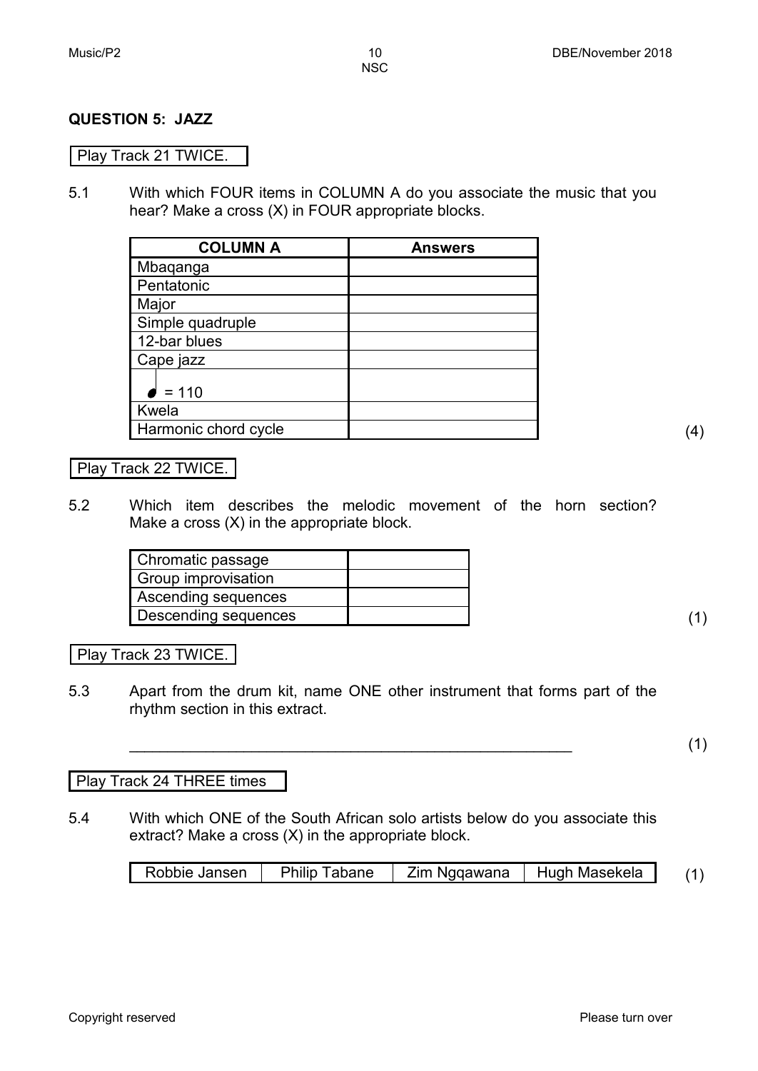#### **QUESTION 5: JAZZ**

#### Play Track 21 TWICE.

5.1 With which FOUR items in COLUMN A do you associate the music that you hear? Make a cross (X) in FOUR appropriate blocks.

| <b>COLUMN A</b>      | <b>Answers</b> |
|----------------------|----------------|
| Mbaqanga             |                |
| Pentatonic           |                |
| Major                |                |
| Simple quadruple     |                |
| 12-bar blues         |                |
| Cape jazz            |                |
| $= 110$              |                |
| Kwela                |                |
| Harmonic chord cycle |                |

#### Play Track 22 TWICE.

5.2 Which item describes the melodic movement of the horn section? Make a cross (X) in the appropriate block.

| Chromatic passage    |  |
|----------------------|--|
| Group improvisation  |  |
| Ascending sequences  |  |
| Descending sequences |  |

Play Track 23 TWICE.

5.3 Apart from the drum kit, name ONE other instrument that forms part of the rhythm section in this extract.

#### Play Track 24 THREE times

5.4 With which ONE of the South African solo artists below do you associate this extract? Make a cross (X) in the appropriate block.

| Robbie Jansen | <b>Philip Tabane</b> | Zim Ngqawana | Hugh Masekela |  |
|---------------|----------------------|--------------|---------------|--|
|               |                      |              |               |  |

**\_\_\_\_\_\_\_\_\_\_\_\_\_\_\_\_\_\_\_\_\_\_\_\_\_\_\_\_\_\_\_\_\_\_\_\_\_\_\_\_\_\_\_\_\_\_\_\_\_\_\_\_\_\_\_\_\_\_** (1)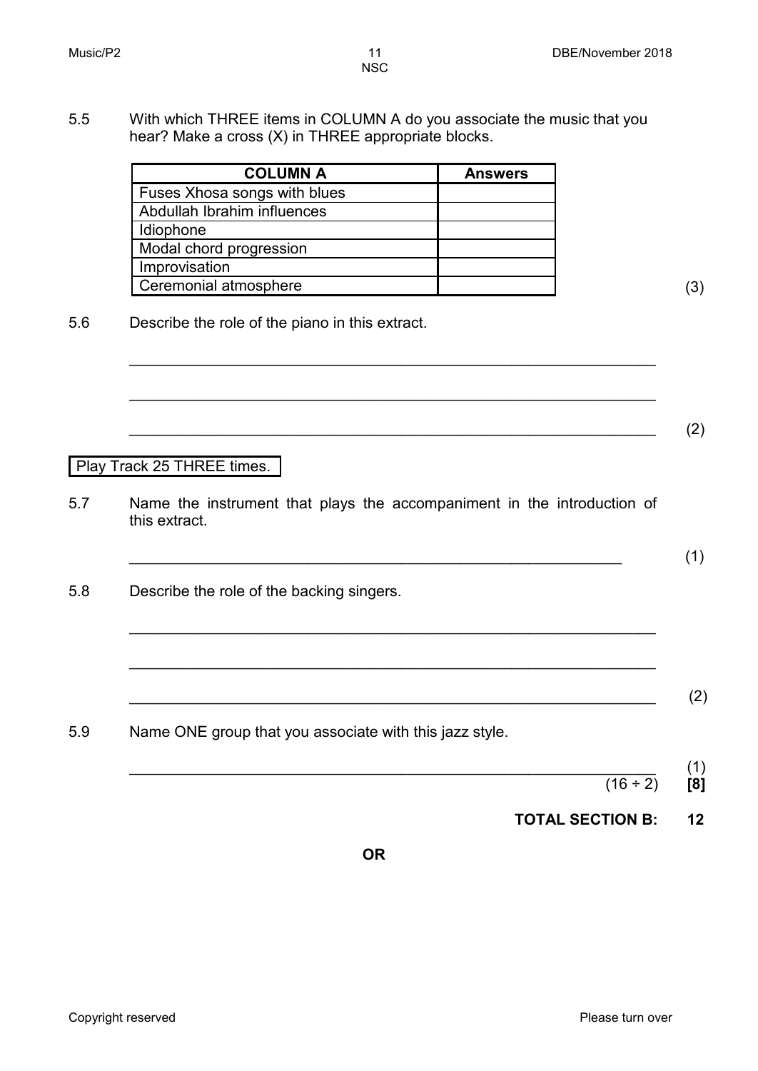5.5 With which THREE items in COLUMN A do you associate the music that you hear? Make a cross (X) in THREE appropriate blocks.

| <b>COLUMN A</b>              | <b>Answers</b> |
|------------------------------|----------------|
| Fuses Xhosa songs with blues |                |
| Abdullah Ibrahim influences  |                |
| Idiophone                    |                |
| Modal chord progression      |                |
| Improvisation                |                |
| Ceremonial atmosphere        |                |

5.6 Describe the role of the piano in this extract.

Play Track 25 THREE times.

5.7 Name the instrument that plays the accompaniment in the introduction of this extract.

\_\_\_\_\_\_\_\_\_\_\_\_\_\_\_\_\_\_\_\_\_\_\_\_\_\_\_\_\_\_\_\_\_\_\_\_\_\_\_\_\_\_\_\_\_\_\_\_\_\_\_\_\_\_\_\_\_\_\_\_\_\_

\_\_\_\_\_\_\_\_\_\_\_\_\_\_\_\_\_\_\_\_\_\_\_\_\_\_\_\_\_\_\_\_\_\_\_\_\_\_\_\_\_\_\_\_\_\_\_\_\_\_\_\_\_\_\_\_\_\_\_\_\_\_

 $\overline{\phantom{a}}$  (2)

 $\hspace{2cm}$  (1)

\_\_\_\_\_\_\_\_\_\_\_\_\_\_\_\_\_\_\_\_\_\_\_\_\_\_\_\_\_\_\_\_\_\_\_\_\_\_\_\_\_\_\_\_\_\_\_\_\_\_\_\_\_\_\_\_\_\_\_\_\_\_

\_\_\_\_\_\_\_\_\_\_\_\_\_\_\_\_\_\_\_\_\_\_\_\_\_\_\_\_\_\_\_\_\_\_\_\_\_\_\_\_\_\_\_\_\_\_\_\_\_\_\_\_\_\_\_\_\_\_\_\_\_\_

- 5.8 Describe the role of the backing singers.
	- \_\_\_\_\_\_\_\_\_\_\_\_\_\_\_\_\_\_\_\_\_\_\_\_\_\_\_\_\_\_\_\_\_\_\_\_\_\_\_\_\_\_\_\_\_\_\_\_\_\_\_\_\_\_\_\_\_\_\_\_\_\_ (2)

5.9 Name ONE group that you associate with this jazz style.

- \_\_\_\_\_\_\_\_\_\_\_\_\_\_\_\_\_\_\_\_\_\_\_\_\_\_\_\_\_\_\_\_\_\_\_\_\_\_\_\_\_\_\_\_\_\_\_\_\_\_\_\_\_\_\_\_\_\_\_\_\_\_ (1) (16 ÷ 2) **[8]**
	- **TOTAL SECTION B: 12**

**OR**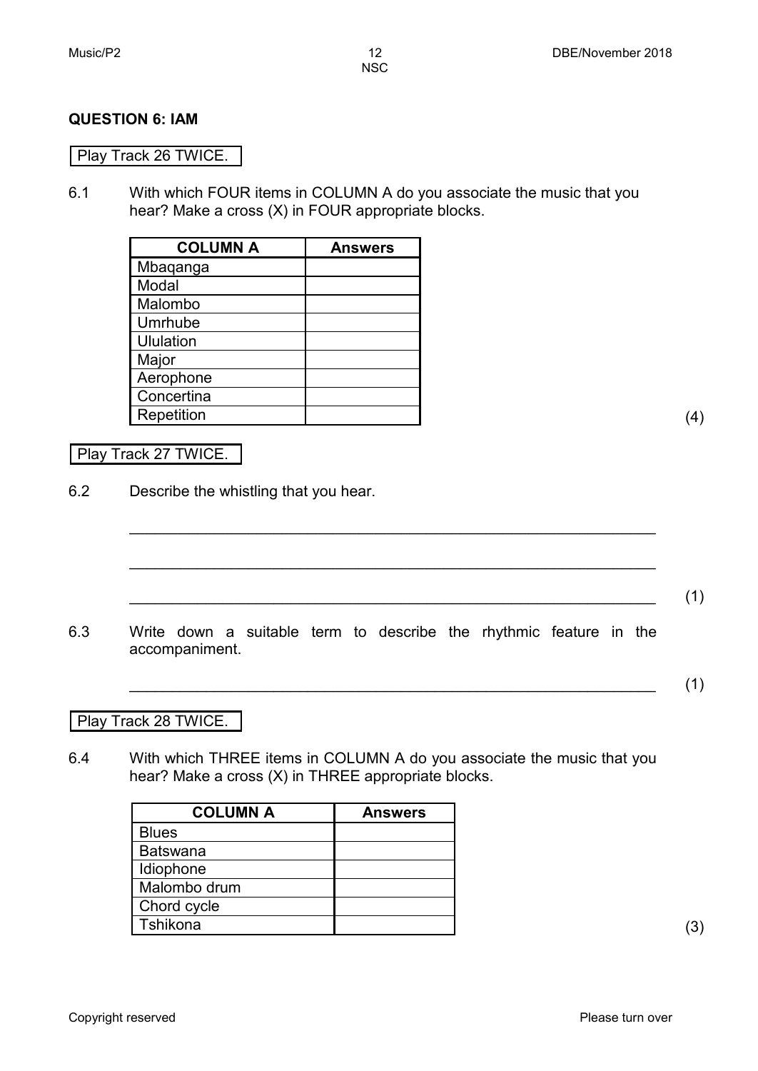#### **QUESTION 6: IAM**

#### Play Track 26 TWICE.

6.1 With which FOUR items in COLUMN A do you associate the music that you hear? Make a cross (X) in FOUR appropriate blocks.

| <b>COLUMN A</b> | <b>Answers</b> |
|-----------------|----------------|
| Mbaqanga        |                |
| Modal           |                |
| Malombo         |                |
| Umrhube         |                |
| Ululation       |                |
| Major           |                |
| Aerophone       |                |
| Concertina      |                |
| Repetition      |                |

#### Play Track 27 TWICE.

6.2 Describe the whistling that you hear.

6.3 Write down a suitable term to describe the rhythmic feature in the accompaniment.

\_\_\_\_\_\_\_\_\_\_\_\_\_\_\_\_\_\_\_\_\_\_\_\_\_\_\_\_\_\_\_\_\_\_\_\_\_\_\_\_\_\_\_\_\_\_\_\_\_\_\_\_\_\_\_\_\_\_\_\_\_\_

\_\_\_\_\_\_\_\_\_\_\_\_\_\_\_\_\_\_\_\_\_\_\_\_\_\_\_\_\_\_\_\_\_\_\_\_\_\_\_\_\_\_\_\_\_\_\_\_\_\_\_\_\_\_\_\_\_\_\_\_\_\_

\_\_\_\_\_\_\_\_\_\_\_\_\_\_\_\_\_\_\_\_\_\_\_\_\_\_\_\_\_\_\_\_\_\_\_\_\_\_\_\_\_\_\_\_\_\_\_\_\_\_\_\_\_\_\_\_\_\_\_\_\_\_ (1)

\_\_\_\_\_\_\_\_\_\_\_\_\_\_\_\_\_\_\_\_\_\_\_\_\_\_\_\_\_\_\_\_\_\_\_\_\_\_\_\_\_\_\_\_\_\_\_\_\_\_\_\_\_\_\_\_\_\_\_\_\_\_ (1)

Play Track 28 TWICE.

6.4 With which THREE items in COLUMN A do you associate the music that you hear? Make a cross (X) in THREE appropriate blocks.

| <b>COLUMN A</b> | <b>Answers</b> |
|-----------------|----------------|
| <b>Blues</b>    |                |
| Batswana        |                |
| Idiophone       |                |
| Malombo drum    |                |
| Chord cycle     |                |
| Tshikona        |                |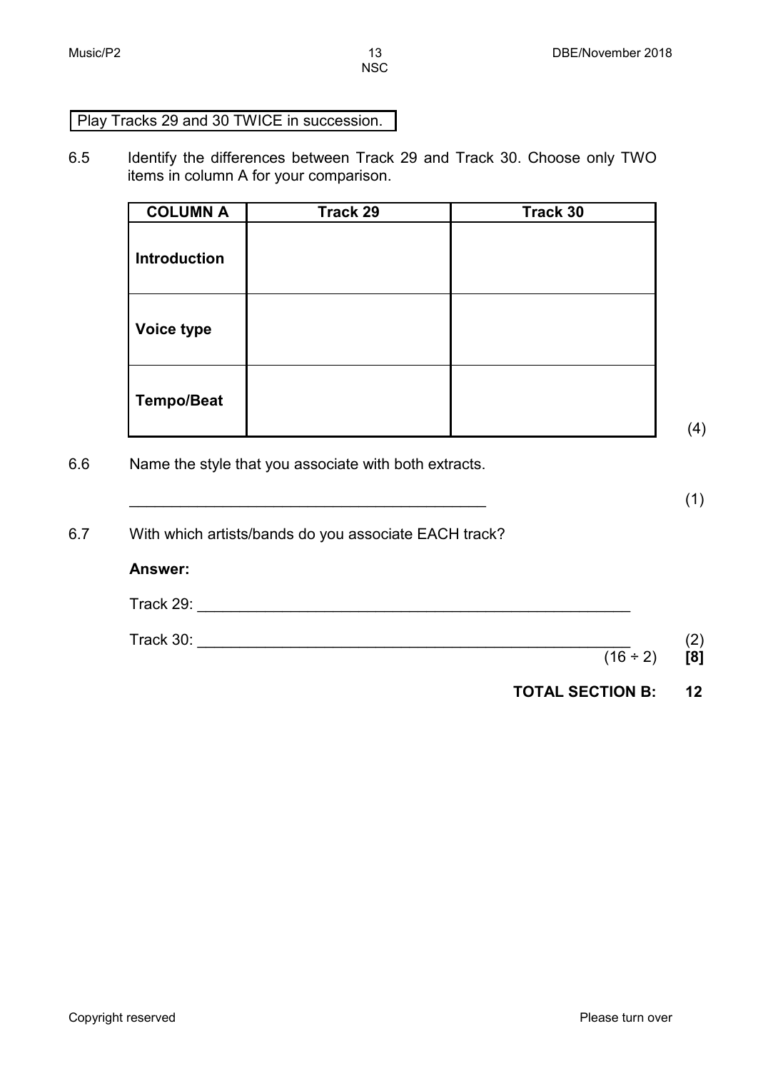## Play Tracks 29 and 30 TWICE in succession.

6.5 Identify the differences between Track 29 and Track 30. Choose only TWO items in column A for your comparison.

| <b>COLUMN A</b>     | Track 29 | Track 30 |
|---------------------|----------|----------|
| <b>Introduction</b> |          |          |
| Voice type          |          |          |
| <b>Tempo/Beat</b>   |          |          |

(4)

6.6 Name the style that you associate with both extracts.

 $\overline{\phantom{a}}$  (1)

| 6.7 | With which artists/bands do you associate EACH track? |
|-----|-------------------------------------------------------|
|     | <b>Answer:</b>                                        |

| Track 29: |               |        |
|-----------|---------------|--------|
| Track 30: |               | $\sim$ |
|           | $(16 \div 2)$ | [8]    |

| <b>TOTAL SECTION B:</b> | 12 |
|-------------------------|----|
|                         |    |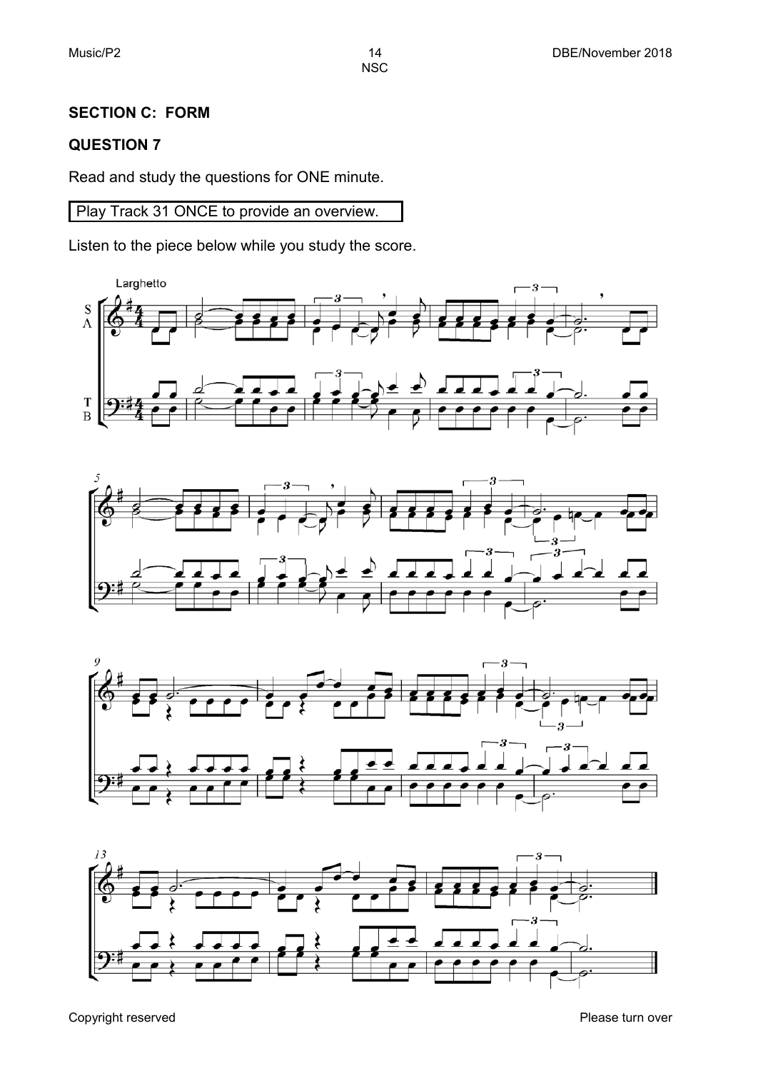#### **SECTION C: FORM**

#### **QUESTION 7**

Read and study the questions for ONE minute.

Play Track 31 ONCE to provide an overview.

Listen to the piece below while you study the score.







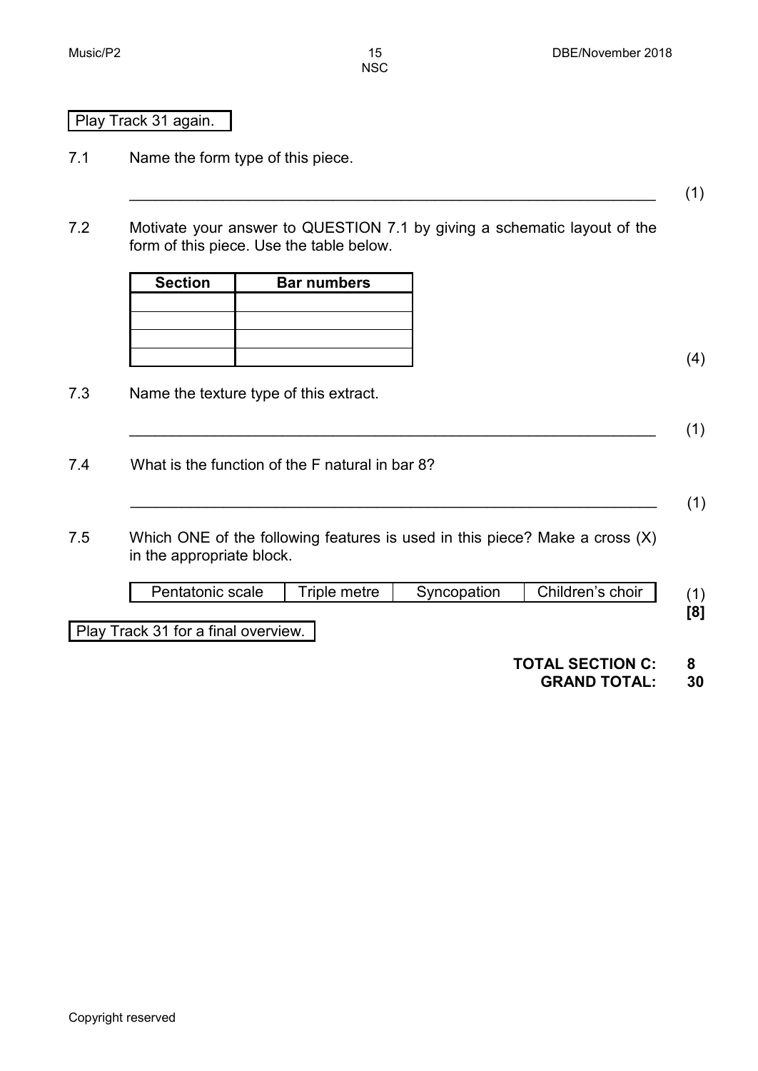(4)

**NSC** 

#### Play Track 31 again.

- 7.1 Name the form type of this piece.
- 7.2 Motivate your answer to QUESTION 7.1 by giving a schematic layout of the form of this piece. Use the table below.

\_\_\_\_\_\_\_\_\_\_\_\_\_\_\_\_\_\_\_\_\_\_\_\_\_\_\_\_\_\_\_\_\_\_\_\_\_\_\_\_\_\_\_\_\_\_\_\_\_\_\_\_\_\_\_\_\_\_\_\_\_\_ (1)

\_\_\_\_\_\_\_\_\_\_\_\_\_\_\_\_\_\_\_\_\_\_\_\_\_\_\_\_\_\_\_\_\_\_\_\_\_\_\_\_\_\_\_\_\_\_\_\_\_\_\_\_\_\_\_\_\_\_\_\_\_\_ (1)

 $\hspace{2cm} (1)$ 

| <b>Section</b> | <b>Bar numbers</b> |  |
|----------------|--------------------|--|
|                |                    |  |
|                |                    |  |
|                |                    |  |
|                |                    |  |

7.3 Name the texture type of this extract.

7.4 What is the function of the F natural in bar 8?

7.5 Which ONE of the following features is used in this piece? Make a cross (X) in the appropriate block.

| Pentatonic scale                    | Triple metre | Syncopation | Children's choir |     |
|-------------------------------------|--------------|-------------|------------------|-----|
|                                     |              |             |                  | [8] |
| Play Track 31 for a final overview. |              |             |                  |     |

### **TOTAL SECTION C: 8**

#### **GRAND TOTAL: 30**